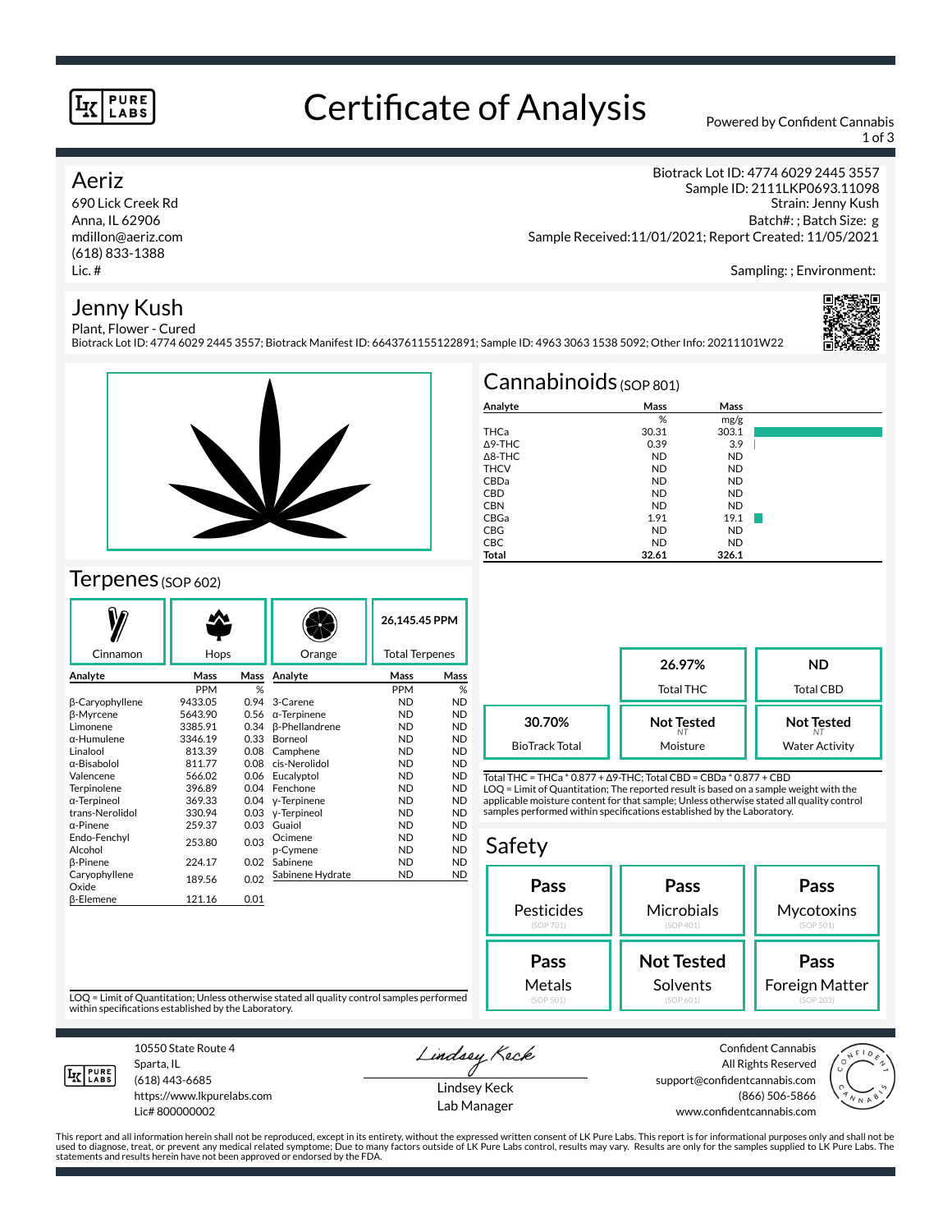#### **PURE LABS**

# Certificate of Analysis Powered by Confident Cannabis

1 of 3

Biotrack Lot ID: 4774 6029 2445 3557 Sample ID: 2111LKP0693.11098

### Aeriz

690 Lick Creek Rd Anna, IL 62906 mdillon@aeriz.com (618) 833-1388 Lic. #

## Jenny Kush

Batch#: ; Batch Size: g Sample Received:11/01/2021; Report Created: 11/05/2021

Strain: Jenny Kush

### Sampling: ; Environment:

Plant, Flower - Cured Biotrack Lot ID: 4774 6029 2445 3557; Biotrack Manifest ID: 6643761155122891; Sample ID: 4963 3063 1538 5092; Other Info: 20211101W22



# Terpenes (SOP 602)

|                  |            |      |                       | 26.145.45 PPM         |           |
|------------------|------------|------|-----------------------|-----------------------|-----------|
| Cinnamon         | Hops       |      | Orange                | <b>Total Terpenes</b> |           |
| Analyte          | Mass       | Mass | Analyte               | Mass                  | Mass      |
|                  | <b>PPM</b> | %    |                       | <b>PPM</b>            | %         |
| β-Caryophyllene  | 9433.05    | 0.94 | 3-Carene              | <b>ND</b>             | <b>ND</b> |
| <b>B-Myrcene</b> | 5643.90    | 0.56 | $\alpha$ -Terpinene   | <b>ND</b>             | <b>ND</b> |
| Limonene         | 3385.91    | 0.34 | <b>ß-Phellandrene</b> | <b>ND</b>             | <b>ND</b> |
| α-Humulene       | 3346.19    | 0.33 | Borneol               | <b>ND</b>             | <b>ND</b> |
| Linalool         | 813.39     | 0.08 | Camphene              | <b>ND</b>             | <b>ND</b> |
| α-Bisabolol      | 811.77     | 0.08 | cis-Nerolidol         | <b>ND</b>             | <b>ND</b> |
| Valencene        | 566.02     | 0.06 | Eucalyptol            | <b>ND</b>             | <b>ND</b> |
| Terpinolene      | 396.89     | 0.04 | Fenchone              | <b>ND</b>             | <b>ND</b> |
| α-Terpineol      | 369.33     | 0.04 | y-Terpinene           | <b>ND</b>             | <b>ND</b> |
| trans-Nerolidol  | 330.94     | 0.03 | y-Terpineol           | <b>ND</b>             | <b>ND</b> |
| α-Pinene         | 259.37     | 0.03 | Guaiol                | <b>ND</b>             | <b>ND</b> |
| Endo-Fenchyl     | 253.80     | 0.03 | Ocimene               | <b>ND</b>             | <b>ND</b> |
| Alcohol          |            |      | p-Cymene              | <b>ND</b>             | <b>ND</b> |
| <b>B-Pinene</b>  | 224.17     | 0.02 | Sabinene              | <b>ND</b>             | <b>ND</b> |
| Caryophyllene    | 189.56     | 0.02 | Sabinene Hydrate      | <b>ND</b>             | <b>ND</b> |
| Oxide            |            |      |                       |                       |           |
| β-Elemene        | 121.16     | 0.01 |                       |                       |           |
|                  |            |      |                       |                       |           |

| $Cannabinoids$ (SOP 801) |           |           |  |  |  |  |  |
|--------------------------|-----------|-----------|--|--|--|--|--|
| Analyte                  | Mass      | Mass      |  |  |  |  |  |
|                          | %         | mg/g      |  |  |  |  |  |
| THCa                     | 30.31     | 303.1     |  |  |  |  |  |
| $\triangle$ 9-THC        | 0.39      | 3.9       |  |  |  |  |  |
| $\triangle$ 8-THC        | <b>ND</b> | <b>ND</b> |  |  |  |  |  |
| <b>THCV</b>              | <b>ND</b> | <b>ND</b> |  |  |  |  |  |
| CBDa                     | <b>ND</b> | <b>ND</b> |  |  |  |  |  |
| <b>CBD</b>               | <b>ND</b> | <b>ND</b> |  |  |  |  |  |
| <b>CBN</b>               | <b>ND</b> | <b>ND</b> |  |  |  |  |  |
| CBGa                     | 1.91      | 19.1      |  |  |  |  |  |
| <b>CBG</b>               | <b>ND</b> | <b>ND</b> |  |  |  |  |  |
| <b>CBC</b>               | <b>ND</b> | <b>ND</b> |  |  |  |  |  |
| Total                    | 32.61     | 326.1     |  |  |  |  |  |

|                       | 26.97%<br><b>Total THC</b> | ND<br><b>Total CBD</b> |
|-----------------------|----------------------------|------------------------|
| 30.70%                | <b>Not Tested</b>          | <b>Not Tested</b>      |
| <b>BioTrack Total</b> | Moisture                   | <b>Water Activity</b>  |

Total THC = THCa \* 0.877 + ∆9-THC; Total CBD = CBDa \* 0.877 + CBD LOQ = Limit of Quantitation; The reported result is based on a sample weight with the applicable moisture content for that sample; Unless otherwise stated all quality control samples performed within specifications established by the Laboratory.

#### Safety **Pass** Pesticides (SOP 701) **Pass Microbials** (SOP 401) **Pass Mycotoxins** (SOP 501) **Not Tested** Solvents **Pass** Foreign Matter **Pass** Metals

LOQ = Limit of Quantitation; Unless otherwise stated all quality control samples performed within specifications established by the Laboratory.



Sparta, IL (618) 443-6685

10550 State Route 4

https://www.lkpurelabs.com Lic# 800000002

Lindsey Keck

Lindsey Keck Lab Manager

Confident Cannabis All Rights Reserved support@confidentcannabis.com (866) 506-5866 www.confidentcannabis.com



This report and all information herein shall not be reproduced, except in its entirety, without the expressed written consent of LK Pure Labs. This report is for informational purposes only and shall not be<br>used to diagnos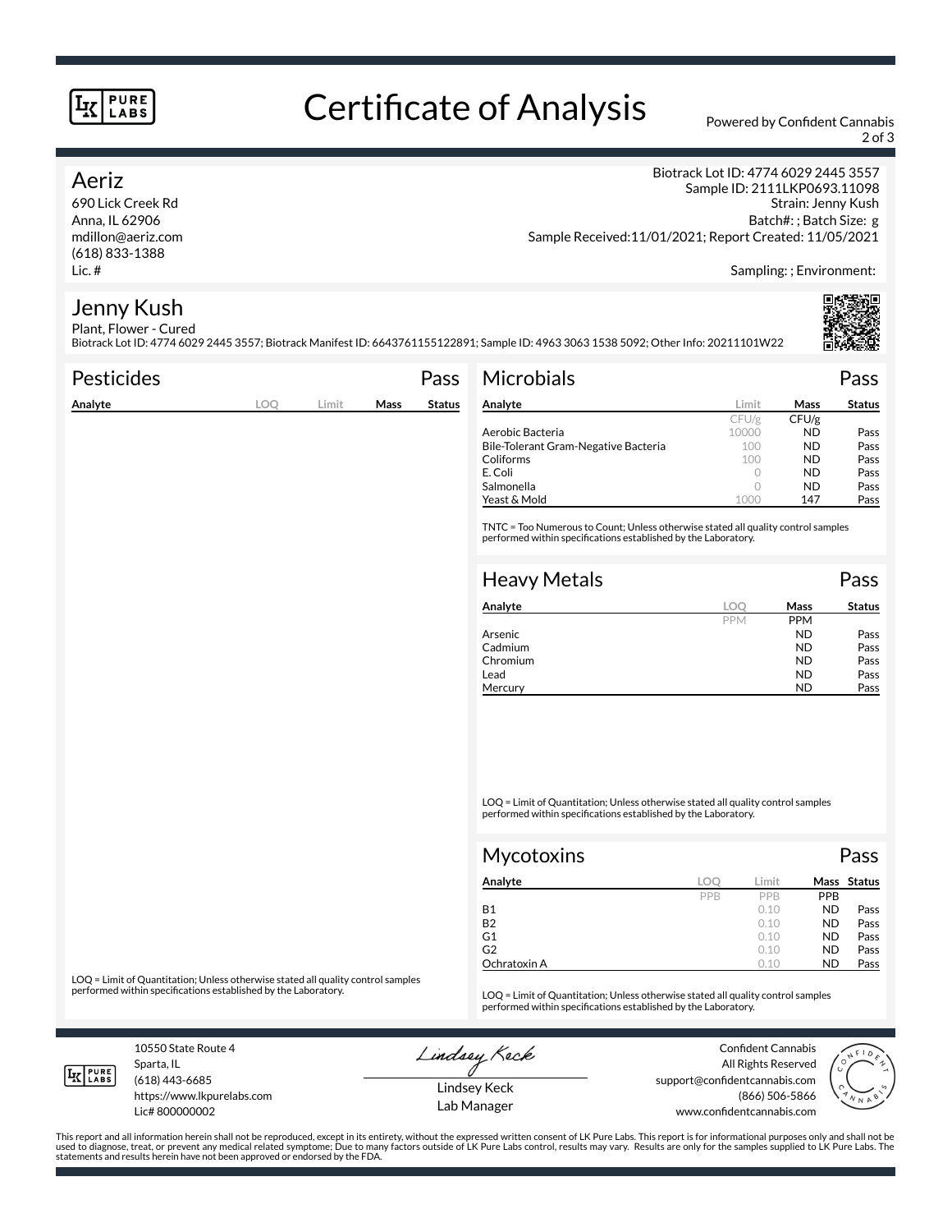#### **PURE LABS**

# Certificate of Analysis Powered by Confident Cannabis

2 of 3

#### Aeriz

690 Lick Creek Rd Anna, IL 62906 mdillon@aeriz.com (618) 833-1388 Lic. #

Biotrack Lot ID: 4774 6029 2445 3557 Sample ID: 2111LKP0693.11098 Strain: Jenny Kush Batch#: ; Batch Size: g Sample Received:11/01/2021; Report Created: 11/05/2021

Sampling: ; Environment:

#### Jenny Kush Plant, Flower - Cured

Biotrack Lot ID: 4774 6029 2445 3557; Biotrack Manifest ID: 6643761155122891; Sample ID: 4963 3063 1538 5092; Other Info: 20211101W22

| <b>Pesticides</b> |      |       |      | Pass          | <b>Microbials</b>                                                                                                                                   |            |                  | Pass          |
|-------------------|------|-------|------|---------------|-----------------------------------------------------------------------------------------------------------------------------------------------------|------------|------------------|---------------|
| Analyte           | LOO. | Limit | Mass | <b>Status</b> | Analyte                                                                                                                                             | Limit      | <b>Mass</b>      | <b>Status</b> |
|                   |      |       |      |               |                                                                                                                                                     | CFU/g      | CFU/g            |               |
|                   |      |       |      |               | Aerobic Bacteria                                                                                                                                    | 10000      | <b>ND</b>        | Pass          |
|                   |      |       |      |               | Bile-Tolerant Gram-Negative Bacteria                                                                                                                | 100        | <b>ND</b>        | Pass          |
|                   |      |       |      |               | Coliforms                                                                                                                                           | 100        | <b>ND</b>        | Pass          |
|                   |      |       |      |               | E. Coli                                                                                                                                             | $\circ$    | <b>ND</b>        | Pass          |
|                   |      |       |      |               | Salmonella                                                                                                                                          | 0          | <b>ND</b>        | Pass          |
|                   |      |       |      |               | Yeast & Mold                                                                                                                                        | 1000       | 147              | Pass          |
|                   |      |       |      |               | TNTC = Too Numerous to Count; Unless otherwise stated all quality control samples<br>performed within specifications established by the Laboratory. |            |                  |               |
|                   |      |       |      |               | <b>Heavy Metals</b>                                                                                                                                 |            |                  | Pass          |
|                   |      |       |      |               | Analyte                                                                                                                                             | <b>LOO</b> | Mass             | <b>Status</b> |
|                   |      |       |      |               |                                                                                                                                                     | DDMA       | DDM <sub>4</sub> |               |

| Analyte  | loc        | Mass       | <b>Status</b> |
|----------|------------|------------|---------------|
|          | <b>PPM</b> | <b>PPM</b> |               |
| Arsenic  |            | <b>ND</b>  | Pass          |
| Cadmium  |            | <b>ND</b>  | Pass          |
| Chromium |            | <b>ND</b>  | Pass          |
| Lead     |            | <b>ND</b>  | Pass          |
| Mercury  |            | ND         | Pass          |

LOQ = Limit of Quantitation; Unless otherwise stated all quality control samples performed within specifications established by the Laboratory.

| Mycotoxins   |     |       |            | Pass        |
|--------------|-----|-------|------------|-------------|
| Analyte      | loc | Limit |            | Mass Status |
|              | PPB | PPB   | <b>PPB</b> |             |
| <b>B1</b>    |     | 0.10  | <b>ND</b>  | Pass        |
| <b>B2</b>    |     | 0.10  | <b>ND</b>  | Pass        |
| G1           |     | 0.10  | <b>ND</b>  | Pass        |
| G2           |     | 0.10  | <b>ND</b>  | Pass        |
| Ochratoxin A |     | 0.10  | <b>ND</b>  | Pass        |

LOQ = Limit of Quantitation; Unless otherwise stated all quality control samples<br>performed within specifications established by the Laboratory.

LOQ = Limit of Quantitation; Unless otherwise stated all quality control samples performed within specifications established by the Laboratory.

10550 State Route 4 Sparta, IL (618) 443-6685

**IK PURE** 

https://www.lkpurelabs.com

Lindsey Keck

Confident Cannabis All Rights Reserved support@confidentcannabis.com (866) 506-5866 www.confidentcannabis.com



Lindsey Keck Lab Manager

Lic# 800000002 This report and all information herein shall not be reproduced, except in its entirety, without the expressed written consent of LK Pure Labs. This report is for informational purposes only and shall not be<br>used to diagnos